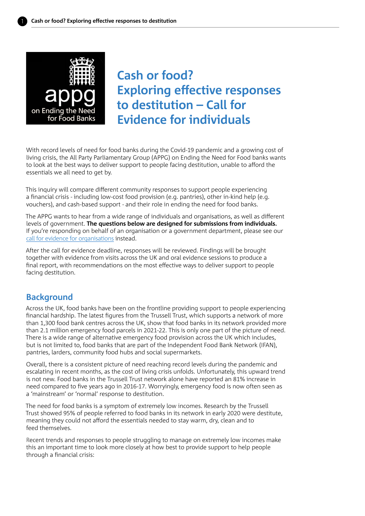

**Cash or food? Exploring effective responses to destitution – Call for Evidence for individuals**

With record levels of need for food banks during the Covid-19 pandemic and a growing cost of living crisis, the All Party Parliamentary Group (APPG) on Ending the Need for Food banks wants to look at the best ways to deliver support to people facing destitution, unable to afford the essentials we all need to get by.

This inquiry will compare different community responses to support people experiencing a financial crisis - including low-cost food provision (e.g. pantries), other in-kind help (e.g. vouchers), and cash-based support - and their role in ending the need for food banks.

The APPG wants to hear from a wide range of individuals and organisations, as well as different levels of government. **The questions below are designed for submissions from individuals.** If you're responding on behalf of an organisation or a government department, please see our [call for evidence for organisations](https://www.trusselltrust.org/what-we-do/research-advocacy/appg-ending-food-banks/call-for-evidence/) instead.

After the call for evidence deadline, responses will be reviewed. Findings will be brought together with evidence from visits across the UK and oral evidence sessions to produce a final report, with recommendations on the most effective ways to deliver support to people facing destitution.

## **Background**

Across the UK, food banks have been on the frontline providing support to people experiencing financial hardship. The latest figures from the Trussell Trust, which supports a network of more than 1,300 food bank centres across the UK, show that food banks in its network provided more than 2.1 million emergency food parcels in 2021-22. This is only one part of the picture of need. There is a wide range of alternative emergency food provision across the UK which includes, but is not limited to, food banks that are part of the Independent Food Bank Network (IFAN), pantries, larders, community food hubs and social supermarkets.

Overall, there is a consistent picture of need reaching record levels during the pandemic and escalating in recent months, as the cost of living crisis unfolds. Unfortunately, this upward trend is not new. Food banks in the Trussell Trust network alone have reported an 81% increase in need compared to five years ago in 2016-17. Worryingly, emergency food is now often seen as a 'mainstream' or 'normal' response to destitution.

The need for food banks is a symptom of extremely low incomes. Research by the Trussell Trust showed 95% of people referred to food banks in its network in early 2020 were destitute, meaning they could not afford the essentials needed to stay warm, dry, clean and to feed themselves.

Recent trends and responses to people struggling to manage on extremely low incomes make this an important time to look more closely at how best to provide support to help people through a financial crisis: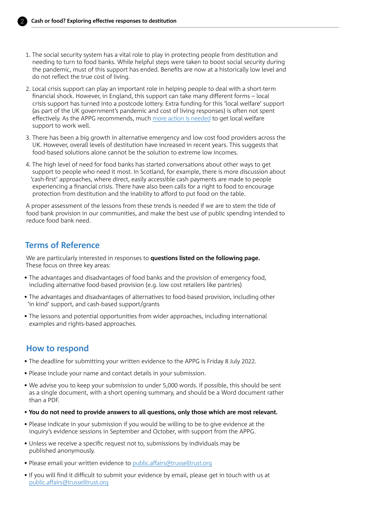

- 1. The social security system has a vital role to play in protecting people from destitution and needing to turn to food banks. While helpful steps were taken to boost social security during the pandemic, must of this support has ended. Benefits are now at a historically low level and do not reflect the true cost of living.
- 2. Local crisis support can play an important role in helping people to deal with a short-term financial shock. However, in England, this support can take many different forms – local crisis support has turned into a postcode lottery. Extra funding for this 'local welfare' support (as part of the UK government's pandemic and cost of living responses) is often not spent effectively. As the APPG recommends, much [more action is needed](https://www.trusselltrust.org/wp-content/uploads/sites/2/2022/05/APPG-ETNFFB-LWAS-recommendations-briefing-FINAL.pdf) to get local welfare support to work well.
- 3. There has been a big growth in alternative emergency and low cost food providers across the UK. However, overall levels of destitution have increased in recent years. This suggests that food-based solutions alone cannot be the solution to extreme low incomes.
- 4. The high level of need for food banks has started conversations about other ways to get support to people who need it most. In Scotland, for example, there is more discussion about 'cash-first' approaches, where direct, easily accessible cash payments are made to people experiencing a financial crisis. There have also been calls for a right to food to encourage protection from destitution and the inability to afford to put food on the table.

A proper assessment of the lessons from these trends is needed if we are to stem the tide of food bank provision in our communities, and make the best use of public spending intended to reduce food bank need.

# **Terms of Reference**

We are particularly interested in responses to **questions listed on the following page.** These focus on three key areas:

- The advantages and disadvantages of food banks and the provision of emergency food, including alternative food-based provision (e.g. low cost retailers like pantries)
- The advantages and disadvantages of alternatives to food-based provision, including other 'in kind' support, and cash-based support/grants
- The lessons and potential opportunities from wider approaches, including international examples and rights-based approaches.

### **How to respond**

- The deadline for submitting your written evidence to the APPG is Friday 8 July 2022.
- Please include your name and contact details in your submission.
- We advise you to keep your submission to under 5,000 words. If possible, this should be sent as a single document, with a short opening summary, and should be a Word document rather than a PDF.
- **You do not need to provide answers to all questions, only those which are most relevant.**
- Please indicate in your submission if you would be willing to be to give evidence at the inquiry's evidence sessions in September and October, with support from the APPG.
- Unless we receive a specific request not to, submissions by individuals may be published anonymously.
- Please email your written evidence to [public.affairs@trusselltrust.org](mailto:public.affairs%40trusselltrust.org?subject=)
- If you will find it difficult to submit your evidence by email, please get in touch with us at [public.affairs@trusselltrust.org](mailto:public.affairs@trusselltrust.org)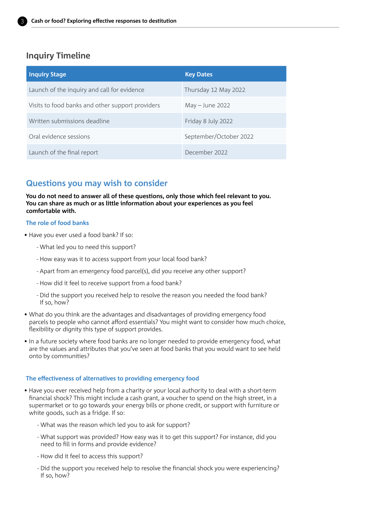

## **Inquiry Timeline**

| <b>Inquiry Stage</b>                             | <b>Key Dates</b>       |
|--------------------------------------------------|------------------------|
| Launch of the inquiry and call for evidence      | Thursday 12 May 2022   |
| Visits to food banks and other support providers | May - June 2022        |
| Written submissions deadline                     | Friday 8 July 2022     |
| Oral evidence sessions                           | September/October 2022 |
| Launch of the final report                       | December 2022          |

# **Questions you may wish to consider**

**You do not need to answer all of these questions, only those which feel relevant to you. You can share as much or as little information about your experiences as you feel comfortable with.** 

#### **The role of food banks**

- Have you ever used a food bank? If so:
	- What led you to need this support?
	- How easy was it to access support from your local food bank?
	- Apart from an emergency food parcel(s), did you receive any other support?
	- How did it feel to receive support from a food bank?
	- Did the support you received help to resolve the reason you needed the food bank? If so, how?
- What do you think are the advantages and disadvantages of providing emergency food parcels to people who cannot afford essentials? You might want to consider how much choice, flexibility or dignity this type of support provides.
- In a future society where food banks are no longer needed to provide emergency food, what are the values and attributes that you've seen at food banks that you would want to see held onto by communities?

#### **The effectiveness of alternatives to providing emergency food**

- Have you ever received help from a charity or your local authority to deal with a short-term financial shock? This might include a cash grant, a voucher to spend on the high street, in a supermarket or to go towards your energy bills or phone credit, or support with furniture or white goods, such as a fridge. If so:
	- What was the reason which led you to ask for support?
	- What support was provided? How easy was it to get this support? For instance, did you need to fill in forms and provide evidence?
	- How did it feel to access this support?
	- Did the support you received help to resolve the financial shock you were experiencing? If so, how?